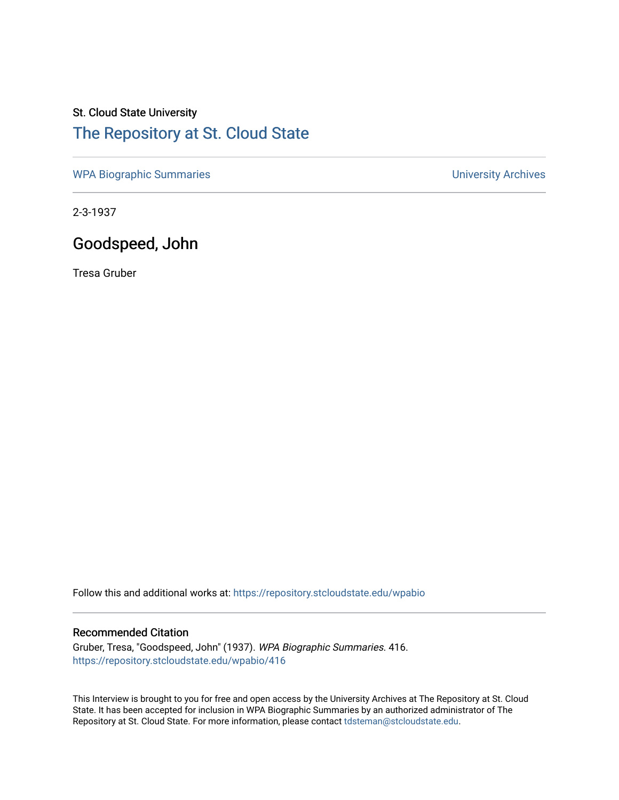## St. Cloud State University [The Repository at St. Cloud State](https://repository.stcloudstate.edu/)

[WPA Biographic Summaries](https://repository.stcloudstate.edu/wpabio) **WPA Biographic Summaries University Archives** 

2-3-1937

## Goodspeed, John

Tresa Gruber

Follow this and additional works at: [https://repository.stcloudstate.edu/wpabio](https://repository.stcloudstate.edu/wpabio?utm_source=repository.stcloudstate.edu%2Fwpabio%2F416&utm_medium=PDF&utm_campaign=PDFCoverPages) 

#### Recommended Citation

Gruber, Tresa, "Goodspeed, John" (1937). WPA Biographic Summaries. 416. [https://repository.stcloudstate.edu/wpabio/416](https://repository.stcloudstate.edu/wpabio/416?utm_source=repository.stcloudstate.edu%2Fwpabio%2F416&utm_medium=PDF&utm_campaign=PDFCoverPages) 

This Interview is brought to you for free and open access by the University Archives at The Repository at St. Cloud State. It has been accepted for inclusion in WPA Biographic Summaries by an authorized administrator of The Repository at St. Cloud State. For more information, please contact [tdsteman@stcloudstate.edu.](mailto:tdsteman@stcloudstate.edu)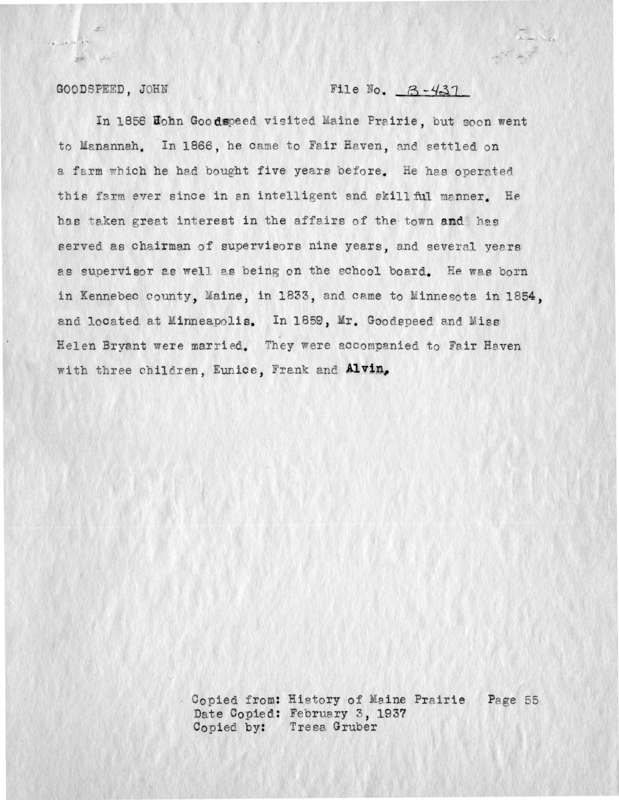#### GOODSPEED. JOHN

 $P = -4 - 16 - k^2$ 

 $\frac{1}{\sqrt{2}}\int_{0}^{\frac{1}{\sqrt{2}}} \frac{1}{\sqrt{2}}\left( \frac{1}{\sqrt{2}}\right) \frac{1}{\sqrt{2}}\left( \frac{1}{\sqrt{2}}\right) \frac{1}{\sqrt{2}}\left( \frac{1}{\sqrt{2}}\right)$ 

#### File No.  $B-437$

In 1856 Hohn Goodspeed visited Maine Prairie, but soon went to Manannah. In 1866, he came to Fair Haven, and settled on a farm which he had bought five years before. He has operated this farm ever since in an intelligent and skill ful manner. He has taken great interest in the affairs of the town and has served as chairman of supervisors nine years, and several years as supervisor as well as being on the school board. He was born in Kennebec county, Maine, in 1833, and came to Minnesota in 1854, and located at Minneapolis. In 1859, Mr. Goodspeed and Miss Helen Bryant were married. They were accompanied to Fair Haven with three children, Eunice, Frank and Alvin,

> Copied from: History of Maine Prairie Page 55 Date Copied: February 3, 1937 Copied by: Tress Gruber